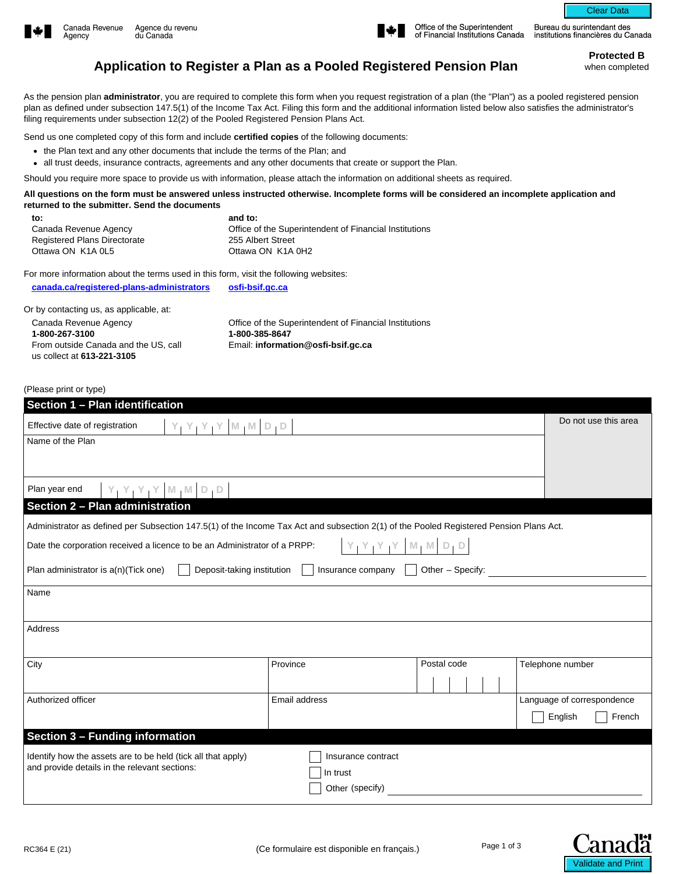



Office of the Superintendent of Financial Institutions Canada

Bureau du surintendant des institutions financières du Canada

Clear Data

**Protected B** 

## **Application to Register a Plan as a Pooled Registered Pension Plan** when completed

As the pension plan **administrator**, you are required to complete this form when you request registration of a plan (the "Plan") as a pooled registered pension plan as defined under subsection 147.5(1) of the Income Tax Act. Filing this form and the additional information listed below also satisfies the administrator's filing requirements under subsection 12(2) of the Pooled Registered Pension Plans Act.

Send us one completed copy of this form and include **certified copies** of the following documents:

• the Plan text and any other documents that include the terms of the Plan; and

• all trust deeds, insurance contracts, agreements and any other documents that create or support the Plan.

Should you require more space to provide us with information, please attach the information on additional sheets as required.

**All questions on the form must be answered unless instructed otherwise. Incomplete forms will be considered an incomplete application and returned to the submitter. Send the documents**

| to:                                 | and to:                                                |
|-------------------------------------|--------------------------------------------------------|
| Canada Revenue Agency               | Office of the Superintendent of Financial Institutions |
| <b>Registered Plans Directorate</b> | 255 Albert Street                                      |
| Ottawa ON K1A 0L5                   | Ottawa ON K1A 0H2                                      |
|                                     |                                                        |

For more information about the terms used in this form, visit the following websites:

**[canada.ca/registered-plans-administrators](https://www.canada.ca/en/services/taxes/savings-and-pension-plans/savings-and-pension-plan-administration.html?utm_campaign=not-applicable&utm_medium=vanity-url&utm_source=canada-ca_registered-plans-administrators) [osfi-bsif.gc.ca](https://www.osfi-bsif.gc.ca/swppws/default.html)**

Or by contacting us, as applicable, at:

Canada Revenue Agency **1-800-267-3100**  From outside Canada and the US, call us collect at **613-221-3105** Office of the Superintendent of Financial Institutions **1-800-385-8647**  Email: **information@osfi-bsif.gc.ca**

(Please print or type)

| Section 1 - Plan identification                                                                                                        |                          |             |                            |  |
|----------------------------------------------------------------------------------------------------------------------------------------|--------------------------|-------------|----------------------------|--|
| $Y_1 Y_1 Y_1 Y_2 M_1 M D_1 D_2$<br>Effective date of registration                                                                      |                          |             | Do not use this area       |  |
| Name of the Plan                                                                                                                       |                          |             |                            |  |
|                                                                                                                                        |                          |             |                            |  |
|                                                                                                                                        |                          |             |                            |  |
| $Y_1 Y_1 Y_1 Y_2 W_1 M D_1 D_2$<br>Plan year end                                                                                       |                          |             |                            |  |
| Section 2 - Plan administration                                                                                                        |                          |             |                            |  |
| Administrator as defined per Subsection 147.5(1) of the Income Tax Act and subsection 2(1) of the Pooled Registered Pension Plans Act. |                          |             |                            |  |
| $Y_1 Y_1 Y_1 Y_2   M_1 M   D_1 D$<br>Date the corporation received a licence to be an Administrator of a PRPP:                         |                          |             |                            |  |
| Deposit-taking institution<br>Insurance company $\vert$ $\vert$ Other - Specify:<br>Plan administrator is a(n)(Tick one)               |                          |             |                            |  |
| Name                                                                                                                                   |                          |             |                            |  |
|                                                                                                                                        |                          |             |                            |  |
| Address                                                                                                                                |                          |             |                            |  |
|                                                                                                                                        |                          |             |                            |  |
| City                                                                                                                                   | Province                 | Postal code | Telephone number           |  |
|                                                                                                                                        | $\overline{\phantom{0}}$ |             |                            |  |
| Authorized officer                                                                                                                     | Email address            |             | Language of correspondence |  |
|                                                                                                                                        |                          |             | English<br>French          |  |
| Section 3 - Funding information                                                                                                        |                          |             |                            |  |
| Identify how the assets are to be held (tick all that apply)                                                                           | Insurance contract       |             |                            |  |
| and provide details in the relevant sections:                                                                                          | In trust                 |             |                            |  |
|                                                                                                                                        | Other (specify)          |             |                            |  |
|                                                                                                                                        |                          |             |                            |  |

Validate and Print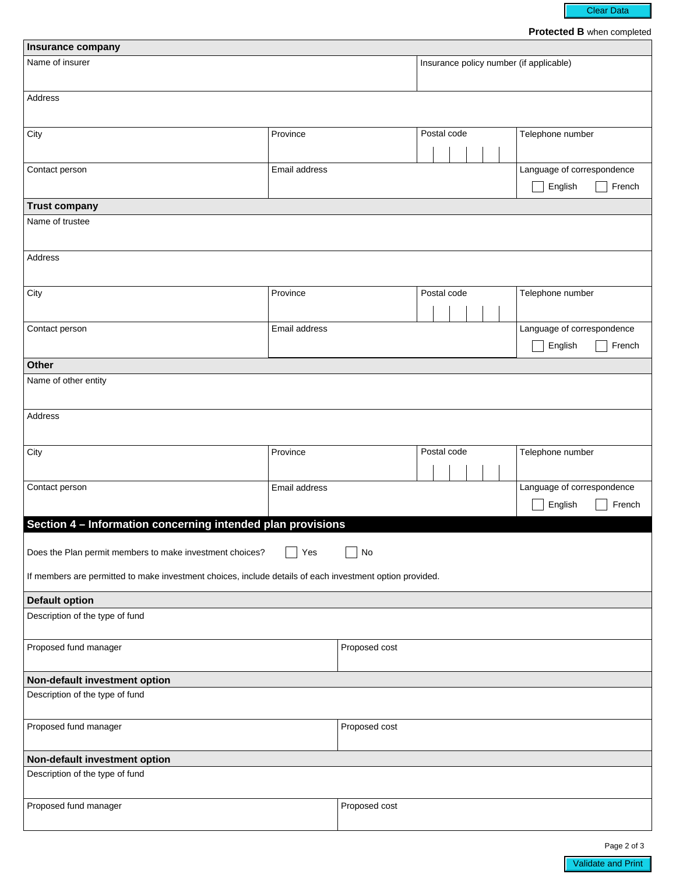Clear Data

**Protected B** when completed

| Insurance company                                                                                        |               |                      |                                         |                                                 |  |
|----------------------------------------------------------------------------------------------------------|---------------|----------------------|-----------------------------------------|-------------------------------------------------|--|
| Name of insurer                                                                                          |               |                      | Insurance policy number (if applicable) |                                                 |  |
| Address                                                                                                  |               |                      |                                         |                                                 |  |
| City                                                                                                     | Province      | $\blacktriangledown$ | Postal code                             | Telephone number                                |  |
| Contact person                                                                                           | Email address |                      |                                         | Language of correspondence<br>English<br>French |  |
| <b>Trust company</b>                                                                                     |               |                      |                                         |                                                 |  |
| Name of trustee                                                                                          |               |                      |                                         |                                                 |  |
| Address                                                                                                  |               |                      |                                         |                                                 |  |
| City                                                                                                     | Province      | $\blacktriangledown$ | Postal code                             | Telephone number                                |  |
| Contact person                                                                                           | Email address |                      |                                         | Language of correspondence<br>French<br>English |  |
| <b>Other</b>                                                                                             |               |                      |                                         |                                                 |  |
| Name of other entity                                                                                     |               |                      |                                         |                                                 |  |
| Address                                                                                                  |               |                      |                                         |                                                 |  |
| City                                                                                                     | Province      | $\blacktriangledown$ | Postal code                             | Telephone number                                |  |
| Contact person                                                                                           | Email address |                      |                                         | Language of correspondence<br>English<br>French |  |
| Section 4 - Information concerning intended plan provisions                                              |               |                      |                                         |                                                 |  |
| No<br>Yes<br>Does the Plan permit members to make investment choices?                                    |               |                      |                                         |                                                 |  |
| If members are permitted to make investment choices, include details of each investment option provided. |               |                      |                                         |                                                 |  |
| <b>Default option</b>                                                                                    |               |                      |                                         |                                                 |  |
| Description of the type of fund                                                                          |               |                      |                                         |                                                 |  |
| Proposed fund manager                                                                                    |               | Proposed cost        |                                         |                                                 |  |
| Non-default investment option                                                                            |               |                      |                                         |                                                 |  |
| Description of the type of fund                                                                          |               |                      |                                         |                                                 |  |
| Proposed fund manager                                                                                    |               | Proposed cost        |                                         |                                                 |  |
| Non-default investment option                                                                            |               |                      |                                         |                                                 |  |
| Description of the type of fund                                                                          |               |                      |                                         |                                                 |  |
| Proposed fund manager                                                                                    |               | Proposed cost        |                                         |                                                 |  |

Page 2 of 3